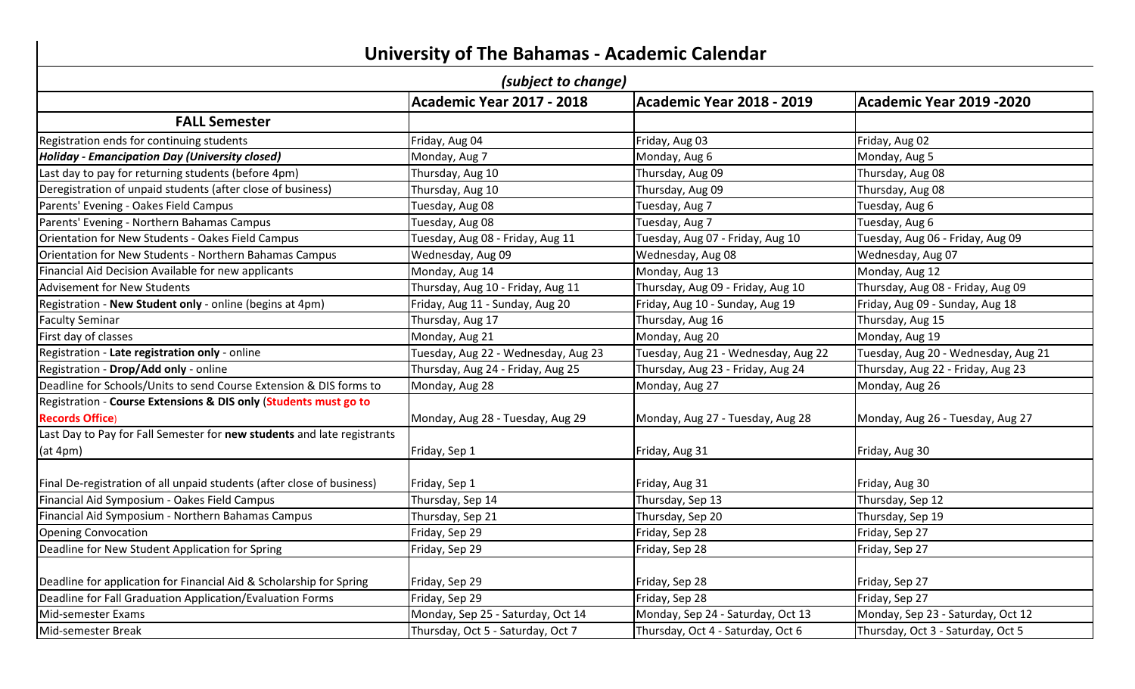| <b>University of The Bahamas - Academic Calendar</b><br>(subject to change) |                                     |                                     |                                     |  |                                  |
|-----------------------------------------------------------------------------|-------------------------------------|-------------------------------------|-------------------------------------|--|----------------------------------|
|                                                                             |                                     |                                     |                                     |  | <b>Academic Year 2017 - 2018</b> |
| <b>FALL Semester</b>                                                        |                                     |                                     |                                     |  |                                  |
| Registration ends for continuing students                                   | Friday, Aug 04                      | Friday, Aug 03                      | Friday, Aug 02                      |  |                                  |
| Holiday - Emancipation Day (University closed)                              | Monday, Aug 7                       | Monday, Aug 6                       | Monday, Aug 5                       |  |                                  |
| Last day to pay for returning students (before 4pm)                         | Thursday, Aug 10                    | Thursday, Aug 09                    | Thursday, Aug 08                    |  |                                  |
| Deregistration of unpaid students (after close of business)                 | Thursday, Aug 10                    | Thursday, Aug 09                    | Thursday, Aug 08                    |  |                                  |
| Parents' Evening - Oakes Field Campus                                       | Tuesday, Aug 08                     | Tuesday, Aug 7                      | Tuesday, Aug 6                      |  |                                  |
| Parents' Evening - Northern Bahamas Campus                                  | Tuesday, Aug 08                     | Tuesday, Aug 7                      | Tuesday, Aug 6                      |  |                                  |
| Orientation for New Students - Oakes Field Campus                           | Tuesday, Aug 08 - Friday, Aug 11    | Tuesday, Aug 07 - Friday, Aug 10    | Tuesday, Aug 06 - Friday, Aug 09    |  |                                  |
| Orientation for New Students - Northern Bahamas Campus                      | Wednesday, Aug 09                   | Wednesday, Aug 08                   | Wednesday, Aug 07                   |  |                                  |
| Financial Aid Decision Available for new applicants                         | Monday, Aug 14                      | Monday, Aug 13                      | Monday, Aug 12                      |  |                                  |
| Advisement for New Students                                                 | Thursday, Aug 10 - Friday, Aug 11   | Thursday, Aug 09 - Friday, Aug 10   | Thursday, Aug 08 - Friday, Aug 09   |  |                                  |
| Registration - New Student only - online (begins at 4pm)                    | Friday, Aug 11 - Sunday, Aug 20     | Friday, Aug 10 - Sunday, Aug 19     | Friday, Aug 09 - Sunday, Aug 18     |  |                                  |
| <b>Faculty Seminar</b>                                                      | Thursday, Aug 17                    | Thursday, Aug 16                    | Thursday, Aug 15                    |  |                                  |
| First day of classes                                                        | Monday, Aug 21                      | Monday, Aug 20                      | Monday, Aug 19                      |  |                                  |
| Registration - Late registration only - online                              | Tuesday, Aug 22 - Wednesday, Aug 23 | Tuesday, Aug 21 - Wednesday, Aug 22 | Tuesday, Aug 20 - Wednesday, Aug 21 |  |                                  |
| Registration - Drop/Add only - online                                       | Thursday, Aug 24 - Friday, Aug 25   | Thursday, Aug 23 - Friday, Aug 24   | Thursday, Aug 22 - Friday, Aug 23   |  |                                  |
| Deadline for Schools/Units to send Course Extension & DIS forms to          | Monday, Aug 28                      | Monday, Aug 27                      | Monday, Aug 26                      |  |                                  |
| Registration - Course Extensions & DIS only (Students must go to            |                                     |                                     |                                     |  |                                  |
| <b>Records Office)</b>                                                      | Monday, Aug 28 - Tuesday, Aug 29    | Monday, Aug 27 - Tuesday, Aug 28    | Monday, Aug 26 - Tuesday, Aug 27    |  |                                  |
| Last Day to Pay for Fall Semester for new students and late registrants     |                                     |                                     |                                     |  |                                  |

| [Deadline for Schools/Units to send Course Extension & DIS forms to     | Monday, Aug 28                    | Monday, Aug 27                    | Monday, Aug 26                    |
|-------------------------------------------------------------------------|-----------------------------------|-----------------------------------|-----------------------------------|
| Registration - Course Extensions & DIS only (Students must go to        |                                   |                                   |                                   |
| <b>Records Office</b> )                                                 | Monday, Aug 28 - Tuesday, Aug 29  | Monday, Aug 27 - Tuesday, Aug 28  | Monday, Aug 26 - Tuesday, Aug 27  |
| Last Day to Pay for Fall Semester for new students and late registrants |                                   |                                   |                                   |
| (at 4pm)                                                                | Friday, Sep 1                     | Friday, Aug 31                    | Friday, Aug 30                    |
| Final De-registration of all unpaid students (after close of business)  | Friday, Sep 1                     | Friday, Aug 31                    | Friday, Aug 30                    |
| Financial Aid Symposium - Oakes Field Campus                            | Thursday, Sep 14                  | Thursday, Sep 13                  | Thursday, Sep 12                  |
| Financial Aid Symposium - Northern Bahamas Campus                       | Thursday, Sep 21                  | Thursday, Sep 20                  | Thursday, Sep 19                  |
| <b>Opening Convocation</b>                                              | Friday, Sep 29                    | Friday, Sep 28                    | Friday, Sep 27                    |
| Deadline for New Student Application for Spring                         | Friday, Sep 29                    | Friday, Sep 28                    | Friday, Sep 27                    |
| Deadline for application for Financial Aid & Scholarship for Spring     | Friday, Sep 29                    | Friday, Sep 28                    | Friday, Sep 27                    |
| Deadline for Fall Graduation Application/Evaluation Forms               | Friday, Sep 29                    | Friday, Sep 28                    | Friday, Sep 27                    |
| Mid-semester Exams                                                      | Monday, Sep 25 - Saturday, Oct 14 | Monday, Sep 24 - Saturday, Oct 13 | Monday, Sep 23 - Saturday, Oct 12 |
| Mid-semester Break                                                      | Thursday, Oct 5 - Saturday, Oct 7 | Thursday, Oct 4 - Saturday, Oct 6 | Thursday, Oct 3 - Saturday, Oct 5 |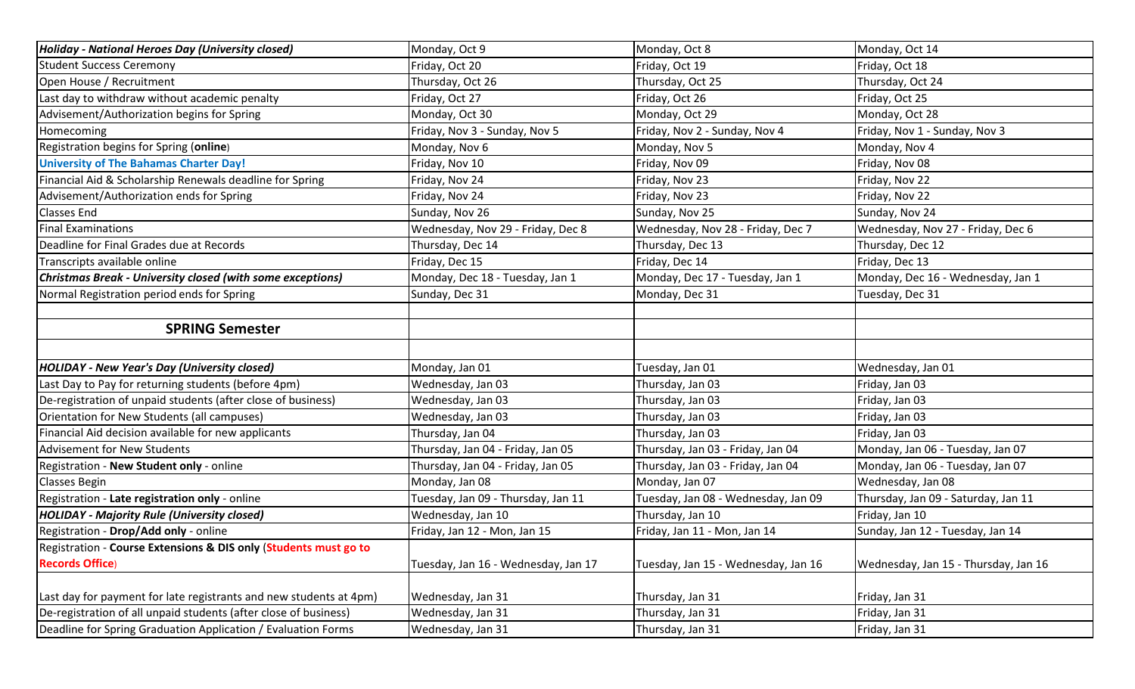| <b>Holiday - National Heroes Day (University closed)</b>           | Monday, Oct 9                       | Monday, Oct 8                       | Monday, Oct 14                       |
|--------------------------------------------------------------------|-------------------------------------|-------------------------------------|--------------------------------------|
| <b>Student Success Ceremony</b>                                    | Friday, Oct 20                      | Friday, Oct 19                      | Friday, Oct 18                       |
| Open House / Recruitment                                           | Thursday, Oct 26                    | Thursday, Oct 25                    | Thursday, Oct 24                     |
| Last day to withdraw without academic penalty                      | Friday, Oct 27                      | Friday, Oct 26                      | Friday, Oct 25                       |
| Advisement/Authorization begins for Spring                         | Monday, Oct 30                      | Monday, Oct 29                      | Monday, Oct 28                       |
| Homecoming                                                         | Friday, Nov 3 - Sunday, Nov 5       | Friday, Nov 2 - Sunday, Nov 4       | Friday, Nov 1 - Sunday, Nov 3        |
| Registration begins for Spring (online)                            | Monday, Nov 6                       | Monday, Nov 5                       | Monday, Nov 4                        |
| <b>University of The Bahamas Charter Day!</b>                      | Friday, Nov 10                      | Friday, Nov 09                      | Friday, Nov 08                       |
| Financial Aid & Scholarship Renewals deadline for Spring           | Friday, Nov 24                      | Friday, Nov 23                      | Friday, Nov 22                       |
| Advisement/Authorization ends for Spring                           | Friday, Nov 24                      | Friday, Nov 23                      | Friday, Nov 22                       |
| Classes End                                                        | Sunday, Nov 26                      | Sunday, Nov 25                      | Sunday, Nov 24                       |
| <b>Final Examinations</b>                                          | Wednesday, Nov 29 - Friday, Dec 8   | Wednesday, Nov 28 - Friday, Dec 7   | Wednesday, Nov 27 - Friday, Dec 6    |
| Deadline for Final Grades due at Records                           | Thursday, Dec 14                    | Thursday, Dec 13                    | Thursday, Dec 12                     |
| Transcripts available online                                       | Friday, Dec 15                      | Friday, Dec 14                      | Friday, Dec 13                       |
| <b>Christmas Break - University closed (with some exceptions)</b>  | Monday, Dec 18 - Tuesday, Jan 1     | Monday, Dec 17 - Tuesday, Jan 1     | Monday, Dec 16 - Wednesday, Jan 1    |
| Normal Registration period ends for Spring                         | Sunday, Dec 31                      | Monday, Dec 31                      | Tuesday, Dec 31                      |
|                                                                    |                                     |                                     |                                      |
| <b>SPRING Semester</b>                                             |                                     |                                     |                                      |
|                                                                    |                                     |                                     |                                      |
| <b>HOLIDAY - New Year's Day (University closed)</b>                | Monday, Jan 01                      | Tuesday, Jan 01                     | Wednesday, Jan 01                    |
| Last Day to Pay for returning students (before 4pm)                | Wednesday, Jan 03                   | Thursday, Jan 03                    | Friday, Jan 03                       |
| De-registration of unpaid students (after close of business)       | Wednesday, Jan 03                   | Thursday, Jan 03                    | Friday, Jan 03                       |
| Orientation for New Students (all campuses)                        | Wednesday, Jan 03                   | Thursday, Jan 03                    | Friday, Jan 03                       |
| Financial Aid decision available for new applicants                | Thursday, Jan 04                    | Thursday, Jan 03                    | Friday, Jan 03                       |
| <b>Advisement for New Students</b>                                 | Thursday, Jan 04 - Friday, Jan 05   | Thursday, Jan 03 - Friday, Jan 04   | Monday, Jan 06 - Tuesday, Jan 07     |
| Registration - New Student only - online                           | Thursday, Jan 04 - Friday, Jan 05   | Thursday, Jan 03 - Friday, Jan 04   | Monday, Jan 06 - Tuesday, Jan 07     |
| <b>Classes Begin</b>                                               | Monday, Jan 08                      | Monday, Jan 07                      | Wednesday, Jan 08                    |
| Registration - Late registration only - online                     | Tuesday, Jan 09 - Thursday, Jan 11  | Tuesday, Jan 08 - Wednesday, Jan 09 | Thursday, Jan 09 - Saturday, Jan 11  |
| <b>HOLIDAY - Majority Rule (University closed)</b>                 | Wednesday, Jan 10                   | Thursday, Jan 10                    | Friday, Jan 10                       |
| Registration - Drop/Add only - online                              | Friday, Jan 12 - Mon, Jan 15        | Friday, Jan 11 - Mon, Jan 14        | Sunday, Jan 12 - Tuesday, Jan 14     |
| Registration - Course Extensions & DIS only (Students must go to   |                                     |                                     |                                      |
| <b>Records Office)</b>                                             | Tuesday, Jan 16 - Wednesday, Jan 17 | Tuesday, Jan 15 - Wednesday, Jan 16 | Wednesday, Jan 15 - Thursday, Jan 16 |
|                                                                    |                                     |                                     |                                      |
| Last day for payment for late registrants and new students at 4pm) | Wednesday, Jan 31                   | Thursday, Jan 31                    | Friday, Jan 31                       |
| De-registration of all unpaid students (after close of business)   | Wednesday, Jan 31                   | Thursday, Jan 31                    | Friday, Jan 31                       |
| Deadline for Spring Graduation Application / Evaluation Forms      | Wednesday, Jan 31                   | Thursday, Jan 31                    | Friday, Jan 31                       |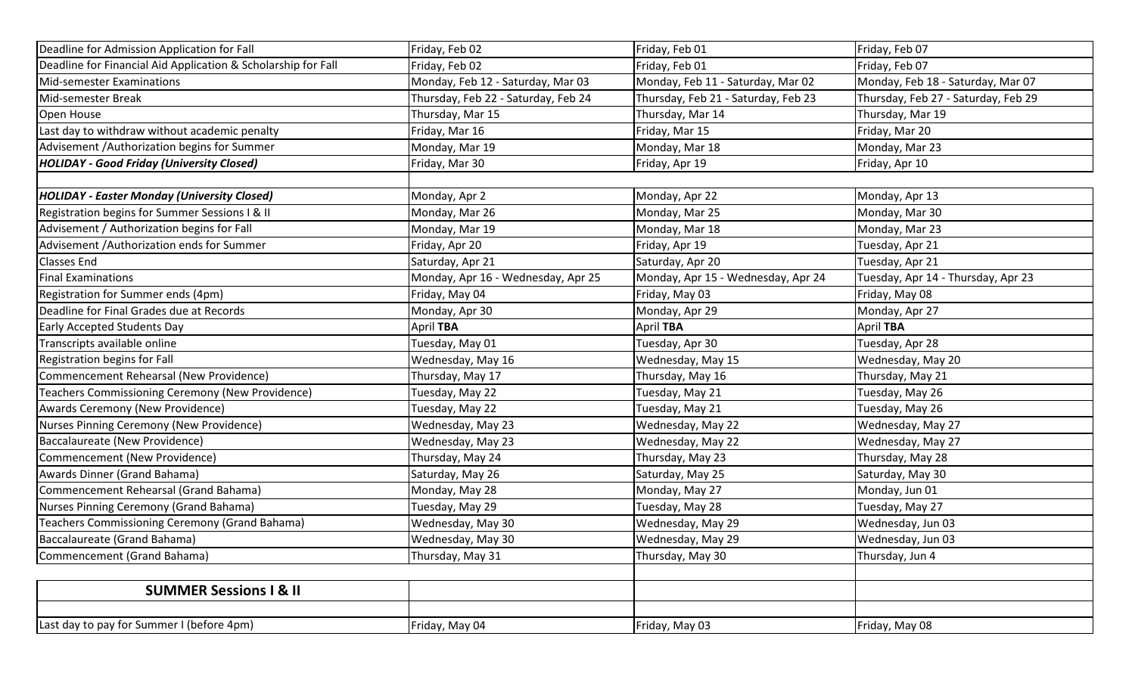| Deadline for Admission Application for Fall                   | Friday, Feb 02                      | Friday, Feb 01                      | Friday, Feb 07                      |
|---------------------------------------------------------------|-------------------------------------|-------------------------------------|-------------------------------------|
| Deadline for Financial Aid Application & Scholarship for Fall | Friday, Feb 02                      | Friday, Feb 01                      | Friday, Feb 07                      |
| <b>Mid-semester Examinations</b>                              | Monday, Feb 12 - Saturday, Mar 03   | Monday, Feb 11 - Saturday, Mar 02   | Monday, Feb 18 - Saturday, Mar 07   |
| Mid-semester Break                                            | Thursday, Feb 22 - Saturday, Feb 24 | Thursday, Feb 21 - Saturday, Feb 23 | Thursday, Feb 27 - Saturday, Feb 29 |
| Open House                                                    | Thursday, Mar 15                    | Thursday, Mar 14                    | Thursday, Mar 19                    |
| Last day to withdraw without academic penalty                 | Friday, Mar 16                      | Friday, Mar 15                      | Friday, Mar 20                      |
| Advisement / Authorization begins for Summer                  | Monday, Mar 19                      | Monday, Mar 18                      | Monday, Mar 23                      |
| <b>HOLIDAY - Good Friday (University Closed)</b>              | Friday, Mar 30                      | Friday, Apr 19                      | Friday, Apr 10                      |
|                                                               |                                     |                                     |                                     |
| <b>HOLIDAY - Easter Monday (University Closed)</b>            | Monday, Apr 2                       | Monday, Apr 22                      | Monday, Apr 13                      |
| Registration begins for Summer Sessions I & II                | Monday, Mar 26                      | Monday, Mar 25                      | Monday, Mar 30                      |
| Advisement / Authorization begins for Fall                    | Monday, Mar 19                      | Monday, Mar 18                      | Monday, Mar 23                      |
| Advisement / Authorization ends for Summer                    | Friday, Apr 20                      | Friday, Apr 19                      | Tuesday, Apr 21                     |
| Classes End                                                   | Saturday, Apr 21                    | Saturday, Apr 20                    | Tuesday, Apr 21                     |
| <b>Final Examinations</b>                                     | Monday, Apr 16 - Wednesday, Apr 25  | Monday, Apr 15 - Wednesday, Apr 24  | Tuesday, Apr 14 - Thursday, Apr 23  |
| Registration for Summer ends (4pm)                            | Friday, May 04                      | Friday, May 03                      | Friday, May 08                      |
| Deadline for Final Grades due at Records                      | Monday, Apr 30                      | Monday, Apr 29                      | Monday, Apr 27                      |
| <b>Early Accepted Students Day</b>                            | April TBA                           | April TBA                           | April TBA                           |
| Transcripts available online                                  | Tuesday, May 01                     | Tuesday, Apr 30                     | Tuesday, Apr 28                     |
| Registration begins for Fall                                  | Wednesday, May 16                   | Wednesday, May 15                   | Wednesday, May 20                   |
| Commencement Rehearsal (New Providence)                       | Thursday, May 17                    | Thursday, May 16                    | Thursday, May 21                    |
| Teachers Commissioning Ceremony (New Providence)              | Tuesday, May 22                     | Tuesday, May 21                     | Tuesday, May 26                     |
| Awards Ceremony (New Providence)                              | Tuesday, May 22                     | Tuesday, May 21                     | Tuesday, May 26                     |
| Nurses Pinning Ceremony (New Providence)                      | Wednesday, May 23                   | Wednesday, May 22                   | Wednesday, May 27                   |
| Baccalaureate (New Providence)                                | Wednesday, May 23                   | Wednesday, May 22                   | Wednesday, May 27                   |
| Commencement (New Providence)                                 | Thursday, May 24                    | Thursday, May 23                    | Thursday, May 28                    |
| Awards Dinner (Grand Bahama)                                  | Saturday, May 26                    | Saturday, May 25                    | Saturday, May 30                    |
| Commencement Rehearsal (Grand Bahama)                         | Monday, May 28                      | Monday, May 27                      | Monday, Jun 01                      |
| Nurses Pinning Ceremony (Grand Bahama)                        | Tuesday, May 29                     | Tuesday, May 28                     | Tuesday, May 27                     |
| Teachers Commissioning Ceremony (Grand Bahama)                | Wednesday, May 30                   | Wednesday, May 29                   | Wednesday, Jun 03                   |
| Baccalaureate (Grand Bahama)                                  | Wednesday, May 30                   | Wednesday, May 29                   | Wednesday, Jun 03                   |
| Commencement (Grand Bahama)                                   | Thursday, May 31                    | Thursday, May 30                    | Thursday, Jun 4                     |
|                                                               |                                     |                                     |                                     |
| <b>SUMMER Sessions I &amp; II</b>                             |                                     |                                     |                                     |
| Last day to pay for Summer I (before 4pm)                     | Friday, May 04                      | Friday, May 03                      | Friday, May 08                      |